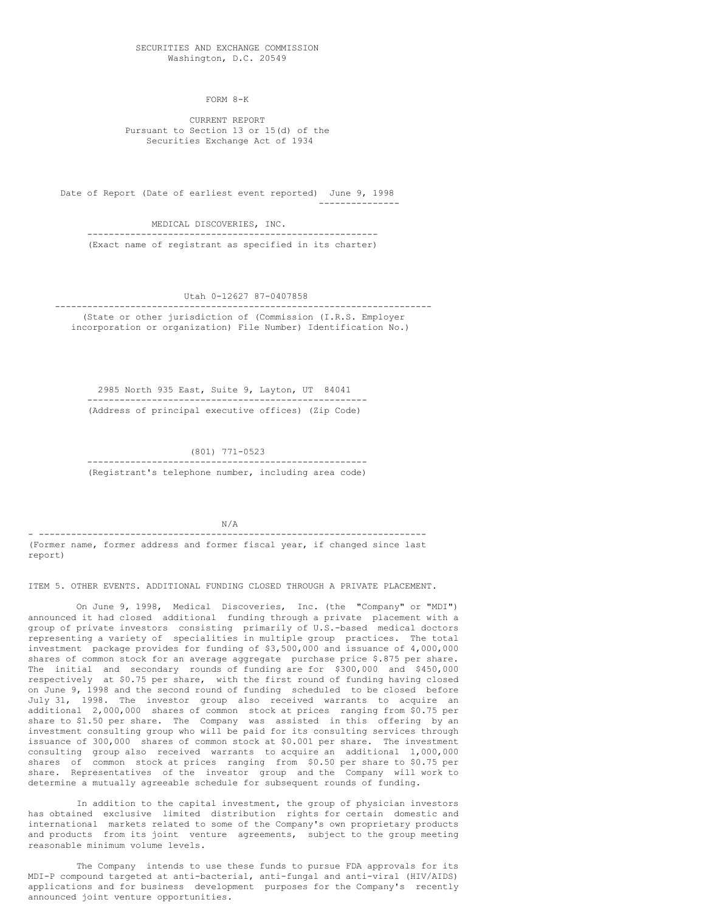SECURITIES AND EXCHANGE COMMISSION Washington, D.C. 20549

FORM 8-K

CURRENT REPORT Pursuant to Section 13 or 15(d) of the Securities Exchange Act of 1934

Date of Report (Date of earliest event reported) June 9, 1998 ---------------

MEDICAL DISCOVERIES, INC.

------------------------------------------------------ (Exact name of registrant as specified in its charter)

Utah 0-12627 87-0407858

---------------------------------------------------------------------- (State or other jurisdiction of (Commission (I.R.S. Employer incorporation or organization) File Number) Identification No.)

2985 North 935 East, Suite 9, Layton, UT 84041 ---------------------------------------------------- (Address of principal executive offices) (Zip Code)

(801) 771-0523

---------------------------------------------------- (Registrant's telephone number, including area code)

N/A

- ------------------------------------------------------------------------ (Former name, former address and former fiscal year, if changed since last report)

ITEM 5. OTHER EVENTS. ADDITIONAL FUNDING CLOSED THROUGH A PRIVATE PLACEMENT.

On June 9, 1998, Medical Discoveries, Inc. (the "Company" or "MDI") announced it had closed additional funding through a private placement with a group of private investors consisting primarily of U.S.-based medical doctors representing a variety of specialities in multiple group practices. The total investment package provides for funding of \$3,500,000 and issuance of 4,000,000 shares of common stock for an average aggregate purchase price \$.875 per share. The initial and secondary rounds of funding are for \$300,000 and \$450,000 respectively at \$0.75 per share, with the first round of funding having closed on June 9, 1998 and the second round of funding scheduled to be closed before July 31, 1998. The investor group also received warrants to acquire an additional 2,000,000 shares of common stock at prices ranging from \$0.75 per share to \$1.50 per share. The Company was assisted in this offering by an investment consulting group who will be paid for its consulting services through issuance of 300,000 shares of common stock at \$0.001 per share. The investment consulting group also received warrants to acquire an additional 1,000,000 shares of common stock at prices ranging from \$0.50 per share to \$0.75 per share. Representatives of the investor group and the Company will work to determine a mutually agreeable schedule for subsequent rounds of funding.

In addition to the capital investment, the group of physician investors has obtained exclusive limited distribution rights for certain domestic and international markets related to some of the Company's own proprietary products and products from its joint venture agreements, subject to the group meeting reasonable minimum volume levels.

The Company intends to use these funds to pursue FDA approvals for its MDI-P compound targeted at anti-bacterial, anti-fungal and anti-viral (HIV/AIDS) applications and for business development purposes for the Company's recently announced joint venture opportunities.